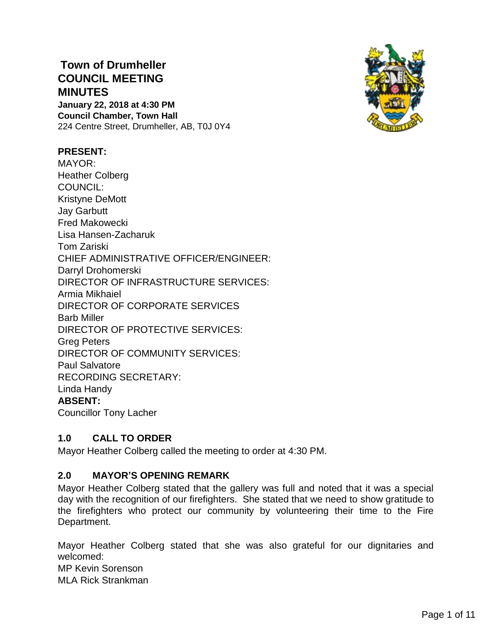# **Town of Drumheller COUNCIL MEETING MINUTES**

**January 22, 2018 at 4:30 PM Council Chamber, Town Hall** 224 Centre Street, Drumheller, AB, T0J 0Y4



## **PRESENT:**

MAYOR: Heather Colberg COUNCIL: Kristyne DeMott Jay Garbutt Fred Makowecki Lisa Hansen-Zacharuk Tom Zariski CHIEF ADMINISTRATIVE OFFICER/ENGINEER: Darryl Drohomerski DIRECTOR OF INFRASTRUCTURE SERVICES: Armia Mikhaiel DIRECTOR OF CORPORATE SERVICES Barb Miller DIRECTOR OF PROTECTIVE SERVICES: Greg Peters DIRECTOR OF COMMUNITY SERVICES: Paul Salvatore RECORDING SECRETARY: Linda Handy **ABSENT:**  Councillor Tony Lacher

## **1.0 CALL TO ORDER**

Mayor Heather Colberg called the meeting to order at 4:30 PM.

## **2.0 MAYOR'S OPENING REMARK**

Mayor Heather Colberg stated that the gallery was full and noted that it was a special day with the recognition of our firefighters. She stated that we need to show gratitude to the firefighters who protect our community by volunteering their time to the Fire Department.

Mayor Heather Colberg stated that she was also grateful for our dignitaries and welcomed: MP Kevin Sorenson

MLA Rick Strankman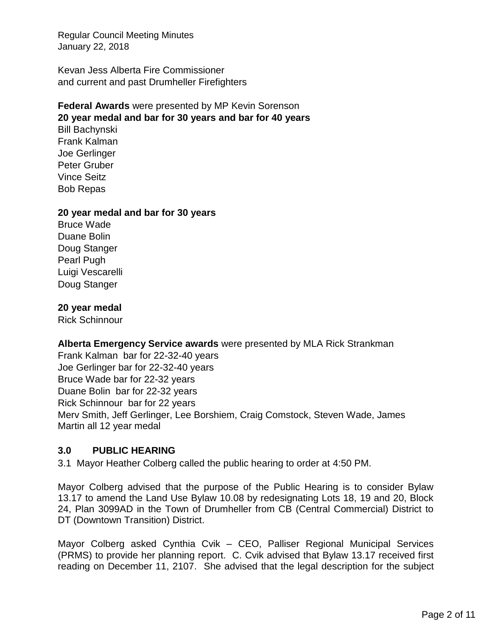Kevan Jess Alberta Fire Commissioner and current and past Drumheller Firefighters

#### **Federal Awards** were presented by MP Kevin Sorenson **20 year medal and bar for 30 years and bar for 40 years**

Bill Bachynski Frank Kalman Joe Gerlinger Peter Gruber Vince Seitz Bob Repas

#### **20 year medal and bar for 30 years**

Bruce Wade Duane Bolin Doug Stanger Pearl Pugh Luigi Vescarelli Doug Stanger

#### **20 year medal**

Rick Schinnour

#### **Alberta Emergency Service awards** were presented by MLA Rick Strankman

Frank Kalman bar for 22-32-40 years Joe Gerlinger bar for 22-32-40 years Bruce Wade bar for 22-32 years Duane Bolin bar for 22-32 years Rick Schinnour bar for 22 years Merv Smith, Jeff Gerlinger, Lee Borshiem, Craig Comstock, Steven Wade, James Martin all 12 year medal

## **3.0 PUBLIC HEARING**

3.1 Mayor Heather Colberg called the public hearing to order at 4:50 PM.

Mayor Colberg advised that the purpose of the Public Hearing is to consider Bylaw 13.17 to amend the Land Use Bylaw 10.08 by redesignating Lots 18, 19 and 20, Block 24, Plan 3099AD in the Town of Drumheller from CB (Central Commercial) District to DT (Downtown Transition) District.

Mayor Colberg asked Cynthia Cvik – CEO, Palliser Regional Municipal Services (PRMS) to provide her planning report. C. Cvik advised that Bylaw 13.17 received first reading on December 11, 2107. She advised that the legal description for the subject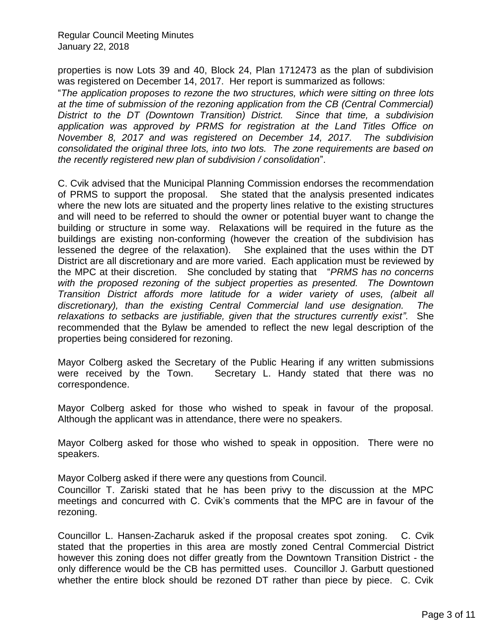properties is now Lots 39 and 40, Block 24, Plan 1712473 as the plan of subdivision was registered on December 14, 2017. Her report is summarized as follows:

"*The application proposes to rezone the two structures, which were sitting on three lots at the time of submission of the rezoning application from the CB (Central Commercial) District to the DT (Downtown Transition) District. Since that time, a subdivision application was approved by PRMS for registration at the Land Titles Office on November 8, 2017 and was registered on December 14, 2017. The subdivision consolidated the original three lots, into two lots. The zone requirements are based on the recently registered new plan of subdivision / consolidation*".

C. Cvik advised that the Municipal Planning Commission endorses the recommendation of PRMS to support the proposal. She stated that the analysis presented indicates where the new lots are situated and the property lines relative to the existing structures and will need to be referred to should the owner or potential buyer want to change the building or structure in some way. Relaxations will be required in the future as the buildings are existing non-conforming (however the creation of the subdivision has lessened the degree of the relaxation). She explained that the uses within the DT District are all discretionary and are more varied. Each application must be reviewed by the MPC at their discretion. She concluded by stating that "*PRMS has no concerns*  with the proposed rezoning of the subject properties as presented. The Downtown *Transition District affords more latitude for a wider variety of uses, (albeit all discretionary), than the existing Central Commercial land use designation. The relaxations to setbacks are justifiable, given that the structures currently exist"*. She recommended that the Bylaw be amended to reflect the new legal description of the properties being considered for rezoning.

Mayor Colberg asked the Secretary of the Public Hearing if any written submissions were received by the Town. Secretary L. Handy stated that there was no correspondence.

Mayor Colberg asked for those who wished to speak in favour of the proposal. Although the applicant was in attendance, there were no speakers.

Mayor Colberg asked for those who wished to speak in opposition. There were no speakers.

Mayor Colberg asked if there were any questions from Council.

Councillor T. Zariski stated that he has been privy to the discussion at the MPC meetings and concurred with C. Cvik's comments that the MPC are in favour of the rezoning.

Councillor L. Hansen-Zacharuk asked if the proposal creates spot zoning. C. Cvik stated that the properties in this area are mostly zoned Central Commercial District however this zoning does not differ greatly from the Downtown Transition District - the only difference would be the CB has permitted uses. Councillor J. Garbutt questioned whether the entire block should be rezoned DT rather than piece by piece. C. Cvik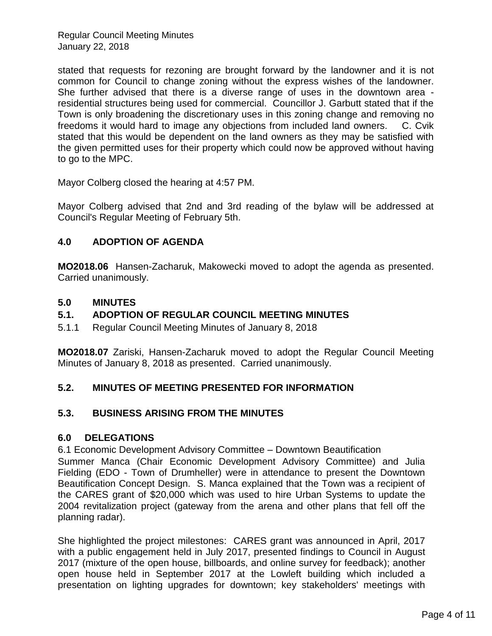stated that requests for rezoning are brought forward by the landowner and it is not common for Council to change zoning without the express wishes of the landowner. She further advised that there is a diverse range of uses in the downtown area residential structures being used for commercial. Councillor J. Garbutt stated that if the Town is only broadening the discretionary uses in this zoning change and removing no freedoms it would hard to image any objections from included land owners. C. Cvik stated that this would be dependent on the land owners as they may be satisfied with the given permitted uses for their property which could now be approved without having to go to the MPC.

Mayor Colberg closed the hearing at 4:57 PM.

Mayor Colberg advised that 2nd and 3rd reading of the bylaw will be addressed at Council's Regular Meeting of February 5th.

## **4.0 ADOPTION OF AGENDA**

**MO2018.06** Hansen-Zacharuk, Makowecki moved to adopt the agenda as presented. Carried unanimously.

## **5.0 MINUTES**

## **5.1. ADOPTION OF REGULAR COUNCIL MEETING MINUTES**

5.1.1 Regular Council Meeting Minutes of January 8, 2018

**MO2018.07** Zariski, Hansen-Zacharuk moved to adopt the Regular Council Meeting Minutes of January 8, 2018 as presented. Carried unanimously.

## **5.2. MINUTES OF MEETING PRESENTED FOR INFORMATION**

## **5.3. BUSINESS ARISING FROM THE MINUTES**

## **6.0 DELEGATIONS**

6.1 Economic Development Advisory Committee – Downtown Beautification

Summer Manca (Chair Economic Development Advisory Committee) and Julia Fielding (EDO - Town of Drumheller) were in attendance to present the Downtown Beautification Concept Design. S. Manca explained that the Town was a recipient of the CARES grant of \$20,000 which was used to hire Urban Systems to update the 2004 revitalization project (gateway from the arena and other plans that fell off the planning radar).

She highlighted the project milestones: CARES grant was announced in April, 2017 with a public engagement held in July 2017, presented findings to Council in August 2017 (mixture of the open house, billboards, and online survey for feedback); another open house held in September 2017 at the Lowleft building which included a presentation on lighting upgrades for downtown; key stakeholders' meetings with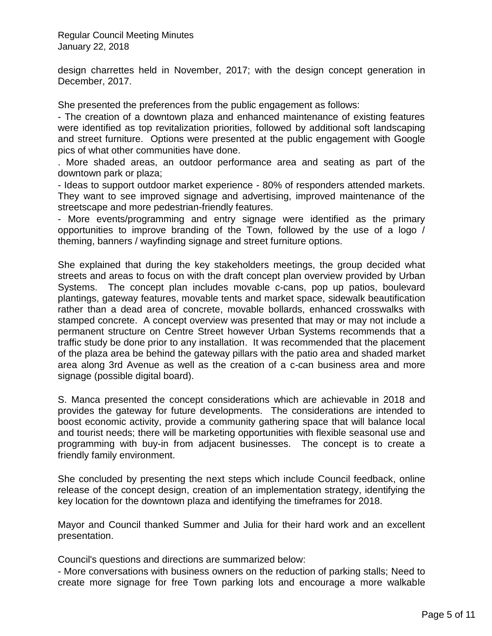design charrettes held in November, 2017; with the design concept generation in December, 2017.

She presented the preferences from the public engagement as follows:

- The creation of a downtown plaza and enhanced maintenance of existing features were identified as top revitalization priorities, followed by additional soft landscaping and street furniture. Options were presented at the public engagement with Google pics of what other communities have done.

. More shaded areas, an outdoor performance area and seating as part of the downtown park or plaza;

- Ideas to support outdoor market experience - 80% of responders attended markets. They want to see improved signage and advertising, improved maintenance of the streetscape and more pedestrian-friendly features.

- More events/programming and entry signage were identified as the primary opportunities to improve branding of the Town, followed by the use of a logo / theming, banners / wayfinding signage and street furniture options.

She explained that during the key stakeholders meetings, the group decided what streets and areas to focus on with the draft concept plan overview provided by Urban Systems. The concept plan includes movable c-cans, pop up patios, boulevard plantings, gateway features, movable tents and market space, sidewalk beautification rather than a dead area of concrete, movable bollards, enhanced crosswalks with stamped concrete. A concept overview was presented that may or may not include a permanent structure on Centre Street however Urban Systems recommends that a traffic study be done prior to any installation. It was recommended that the placement of the plaza area be behind the gateway pillars with the patio area and shaded market area along 3rd Avenue as well as the creation of a c-can business area and more signage (possible digital board).

S. Manca presented the concept considerations which are achievable in 2018 and provides the gateway for future developments. The considerations are intended to boost economic activity, provide a community gathering space that will balance local and tourist needs; there will be marketing opportunities with flexible seasonal use and programming with buy-in from adjacent businesses. The concept is to create a friendly family environment.

She concluded by presenting the next steps which include Council feedback, online release of the concept design, creation of an implementation strategy, identifying the key location for the downtown plaza and identifying the timeframes for 2018.

Mayor and Council thanked Summer and Julia for their hard work and an excellent presentation.

Council's questions and directions are summarized below:

- More conversations with business owners on the reduction of parking stalls; Need to create more signage for free Town parking lots and encourage a more walkable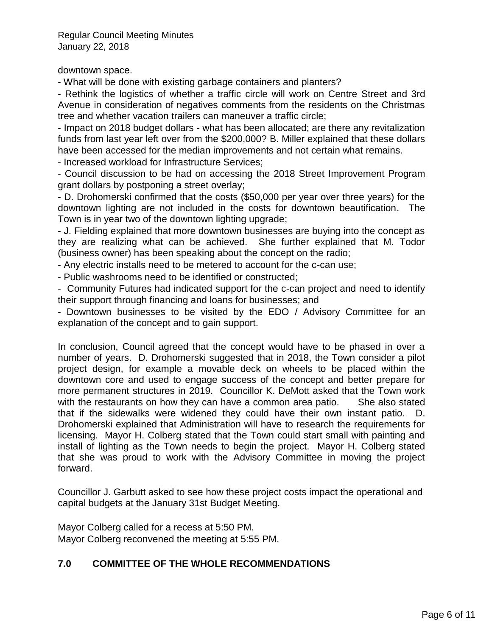downtown space.

- What will be done with existing garbage containers and planters?

- Rethink the logistics of whether a traffic circle will work on Centre Street and 3rd Avenue in consideration of negatives comments from the residents on the Christmas tree and whether vacation trailers can maneuver a traffic circle;

- Impact on 2018 budget dollars - what has been allocated; are there any revitalization funds from last year left over from the \$200,000? B. Miller explained that these dollars have been accessed for the median improvements and not certain what remains.

- Increased workload for Infrastructure Services;

- Council discussion to be had on accessing the 2018 Street Improvement Program grant dollars by postponing a street overlay;

- D. Drohomerski confirmed that the costs (\$50,000 per year over three years) for the downtown lighting are not included in the costs for downtown beautification. The Town is in year two of the downtown lighting upgrade;

- J. Fielding explained that more downtown businesses are buying into the concept as they are realizing what can be achieved. She further explained that M. Todor (business owner) has been speaking about the concept on the radio;

- Any electric installs need to be metered to account for the c-can use;

- Public washrooms need to be identified or constructed;

- Community Futures had indicated support for the c-can project and need to identify their support through financing and loans for businesses; and

- Downtown businesses to be visited by the EDO / Advisory Committee for an explanation of the concept and to gain support.

In conclusion, Council agreed that the concept would have to be phased in over a number of years. D. Drohomerski suggested that in 2018, the Town consider a pilot project design, for example a movable deck on wheels to be placed within the downtown core and used to engage success of the concept and better prepare for more permanent structures in 2019. Councillor K. DeMott asked that the Town work with the restaurants on how they can have a common area patio. She also stated that if the sidewalks were widened they could have their own instant patio. D. Drohomerski explained that Administration will have to research the requirements for licensing. Mayor H. Colberg stated that the Town could start small with painting and install of lighting as the Town needs to begin the project. Mayor H. Colberg stated that she was proud to work with the Advisory Committee in moving the project forward.

Councillor J. Garbutt asked to see how these project costs impact the operational and capital budgets at the January 31st Budget Meeting.

Mayor Colberg called for a recess at 5:50 PM. Mayor Colberg reconvened the meeting at 5:55 PM.

## **7.0 COMMITTEE OF THE WHOLE RECOMMENDATIONS**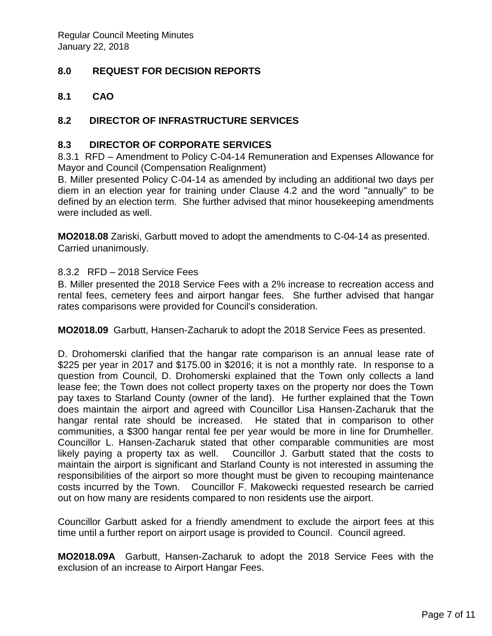# **8.0 REQUEST FOR DECISION REPORTS**

**8.1 CAO**

# **8.2 DIRECTOR OF INFRASTRUCTURE SERVICES**

#### **8.3 DIRECTOR OF CORPORATE SERVICES**

8.3.1 RFD – Amendment to Policy C-04-14 Remuneration and Expenses Allowance for Mayor and Council (Compensation Realignment)

B. Miller presented Policy C-04-14 as amended by including an additional two days per diem in an election year for training under Clause 4.2 and the word "annually" to be defined by an election term. She further advised that minor housekeeping amendments were included as well.

**MO2018.08** Zariski, Garbutt moved to adopt the amendments to C-04-14 as presented. Carried unanimously.

#### 8.3.2 RFD – 2018 Service Fees

B. Miller presented the 2018 Service Fees with a 2% increase to recreation access and rental fees, cemetery fees and airport hangar fees. She further advised that hangar rates comparisons were provided for Council's consideration.

**MO2018.09** Garbutt, Hansen-Zacharuk to adopt the 2018 Service Fees as presented.

D. Drohomerski clarified that the hangar rate comparison is an annual lease rate of \$225 per year in 2017 and \$175.00 in \$2016; it is not a monthly rate. In response to a question from Council, D. Drohomerski explained that the Town only collects a land lease fee; the Town does not collect property taxes on the property nor does the Town pay taxes to Starland County (owner of the land). He further explained that the Town does maintain the airport and agreed with Councillor Lisa Hansen-Zacharuk that the hangar rental rate should be increased. He stated that in comparison to other communities, a \$300 hangar rental fee per year would be more in line for Drumheller. Councillor L. Hansen-Zacharuk stated that other comparable communities are most likely paying a property tax as well. Councillor J. Garbutt stated that the costs to maintain the airport is significant and Starland County is not interested in assuming the responsibilities of the airport so more thought must be given to recouping maintenance costs incurred by the Town. Councillor F. Makowecki requested research be carried out on how many are residents compared to non residents use the airport.

Councillor Garbutt asked for a friendly amendment to exclude the airport fees at this time until a further report on airport usage is provided to Council. Council agreed.

**MO2018.09A** Garbutt, Hansen-Zacharuk to adopt the 2018 Service Fees with the exclusion of an increase to Airport Hangar Fees.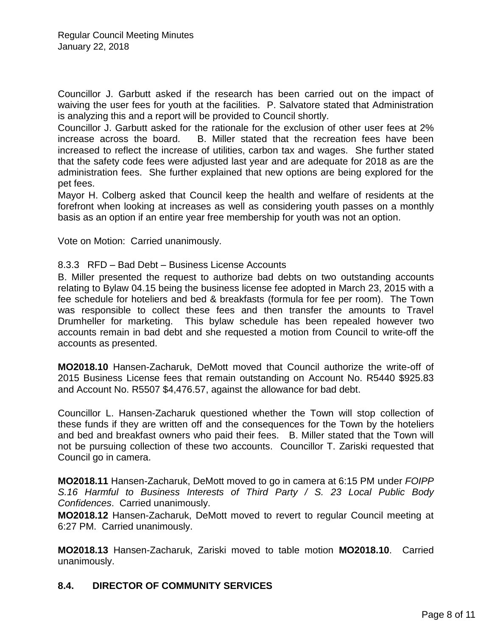Councillor J. Garbutt asked if the research has been carried out on the impact of waiving the user fees for youth at the facilities. P. Salvatore stated that Administration is analyzing this and a report will be provided to Council shortly.

Councillor J. Garbutt asked for the rationale for the exclusion of other user fees at 2% increase across the board. B. Miller stated that the recreation fees have been increased to reflect the increase of utilities, carbon tax and wages. She further stated that the safety code fees were adjusted last year and are adequate for 2018 as are the administration fees. She further explained that new options are being explored for the pet fees.

Mayor H. Colberg asked that Council keep the health and welfare of residents at the forefront when looking at increases as well as considering youth passes on a monthly basis as an option if an entire year free membership for youth was not an option.

Vote on Motion: Carried unanimously.

#### 8.3.3 RFD – Bad Debt – Business License Accounts

B. Miller presented the request to authorize bad debts on two outstanding accounts relating to Bylaw 04.15 being the business license fee adopted in March 23, 2015 with a fee schedule for hoteliers and bed & breakfasts (formula for fee per room). The Town was responsible to collect these fees and then transfer the amounts to Travel Drumheller for marketing. This bylaw schedule has been repealed however two accounts remain in bad debt and she requested a motion from Council to write-off the accounts as presented.

**MO2018.10** Hansen-Zacharuk, DeMott moved that Council authorize the write-off of 2015 Business License fees that remain outstanding on Account No. R5440 \$925.83 and Account No. R5507 \$4,476.57, against the allowance for bad debt.

Councillor L. Hansen-Zacharuk questioned whether the Town will stop collection of these funds if they are written off and the consequences for the Town by the hoteliers and bed and breakfast owners who paid their fees. B. Miller stated that the Town will not be pursuing collection of these two accounts. Councillor T. Zariski requested that Council go in camera.

**MO2018.11** Hansen-Zacharuk, DeMott moved to go in camera at 6:15 PM under *FOIPP S.16 Harmful to Business Interests of Third Party / S. 23 Local Public Body Confidences*. Carried unanimously.

**MO2018.12** Hansen-Zacharuk, DeMott moved to revert to regular Council meeting at 6:27 PM. Carried unanimously.

**MO2018.13** Hansen-Zacharuk, Zariski moved to table motion **MO2018.10**. Carried unanimously.

## **8.4. DIRECTOR OF COMMUNITY SERVICES**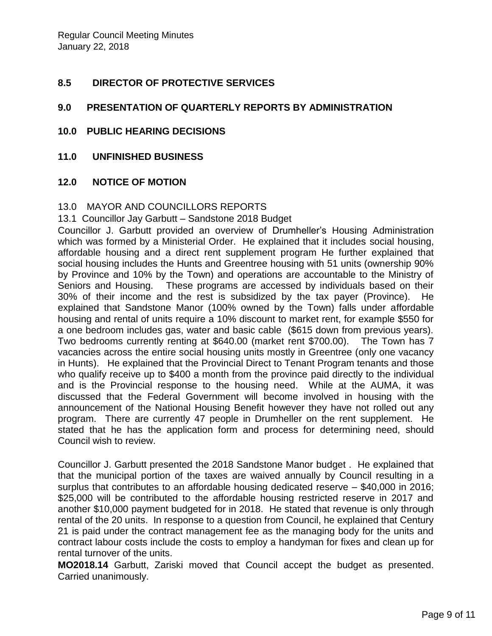## **8.5 DIRECTOR OF PROTECTIVE SERVICES**

## **9.0 PRESENTATION OF QUARTERLY REPORTS BY ADMINISTRATION**

- **10.0 PUBLIC HEARING DECISIONS**
- **11.0 UNFINISHED BUSINESS**

#### **12.0 NOTICE OF MOTION**

#### 13.0 MAYOR AND COUNCILLORS REPORTS

13.1 Councillor Jay Garbutt – Sandstone 2018 Budget

Councillor J. Garbutt provided an overview of Drumheller's Housing Administration which was formed by a Ministerial Order. He explained that it includes social housing, affordable housing and a direct rent supplement program He further explained that social housing includes the Hunts and Greentree housing with 51 units (ownership 90% by Province and 10% by the Town) and operations are accountable to the Ministry of Seniors and Housing. These programs are accessed by individuals based on their 30% of their income and the rest is subsidized by the tax payer (Province). He explained that Sandstone Manor (100% owned by the Town) falls under affordable housing and rental of units require a 10% discount to market rent, for example \$550 for a one bedroom includes gas, water and basic cable (\$615 down from previous years). Two bedrooms currently renting at \$640.00 (market rent \$700.00). The Town has 7 vacancies across the entire social housing units mostly in Greentree (only one vacancy in Hunts). He explained that the Provincial Direct to Tenant Program tenants and those who qualify receive up to \$400 a month from the province paid directly to the individual and is the Provincial response to the housing need. While at the AUMA, it was discussed that the Federal Government will become involved in housing with the announcement of the National Housing Benefit however they have not rolled out any program. There are currently 47 people in Drumheller on the rent supplement. He stated that he has the application form and process for determining need, should Council wish to review.

Councillor J. Garbutt presented the 2018 Sandstone Manor budget . He explained that that the municipal portion of the taxes are waived annually by Council resulting in a surplus that contributes to an affordable housing dedicated reserve – \$40,000 in 2016; \$25,000 will be contributed to the affordable housing restricted reserve in 2017 and another \$10,000 payment budgeted for in 2018. He stated that revenue is only through rental of the 20 units. In response to a question from Council, he explained that Century 21 is paid under the contract management fee as the managing body for the units and contract labour costs include the costs to employ a handyman for fixes and clean up for rental turnover of the units.

**MO2018.14** Garbutt, Zariski moved that Council accept the budget as presented. Carried unanimously.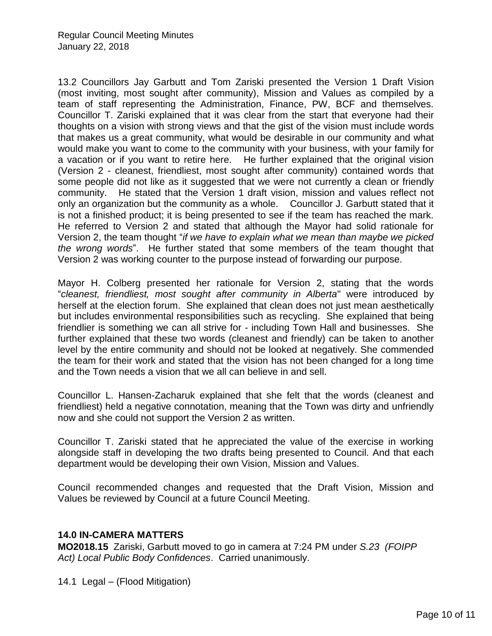13.2 Councillors Jay Garbutt and Tom Zariski presented the Version 1 Draft Vision (most inviting, most sought after community), Mission and Values as compiled by a team of staff representing the Administration, Finance, PW, BCF and themselves. Councillor T. Zariski explained that it was clear from the start that everyone had their thoughts on a vision with strong views and that the gist of the vision must include words that makes us a great community, what would be desirable in our community and what would make you want to come to the community with your business, with your family for a vacation or if you want to retire here. He further explained that the original vision (Version 2 - cleanest, friendliest, most sought after community) contained words that some people did not like as it suggested that we were not currently a clean or friendly community. He stated that the Version 1 draft vision, mission and values reflect not only an organization but the community as a whole. Councillor J. Garbutt stated that it is not a finished product; it is being presented to see if the team has reached the mark. He referred to Version 2 and stated that although the Mayor had solid rationale for Version 2, the team thought "*if we have to explain what we mean than maybe we picked the wrong words*". He further stated that some members of the team thought that Version 2 was working counter to the purpose instead of forwarding our purpose.

Mayor H. Colberg presented her rationale for Version 2, stating that the words "*cleanest, friendliest, most sought after community in Alberta*" were introduced by herself at the election forum. She explained that clean does not just mean aesthetically but includes environmental responsibilities such as recycling. She explained that being friendlier is something we can all strive for - including Town Hall and businesses. She further explained that these two words (cleanest and friendly) can be taken to another level by the entire community and should not be looked at negatively. She commended the team for their work and stated that the vision has not been changed for a long time and the Town needs a vision that we all can believe in and sell.

Councillor L. Hansen-Zacharuk explained that she felt that the words (cleanest and friendliest) held a negative connotation, meaning that the Town was dirty and unfriendly now and she could not support the Version 2 as written.

Councillor T. Zariski stated that he appreciated the value of the exercise in working alongside staff in developing the two drafts being presented to Council. And that each department would be developing their own Vision, Mission and Values.

Council recommended changes and requested that the Draft Vision, Mission and Values be reviewed by Council at a future Council Meeting.

## **14.0 IN-CAMERA MATTERS**

**MO2018.15** Zariski, Garbutt moved to go in camera at 7:24 PM under *S.23 (FOIPP Act) Local Public Body Confidences*. Carried unanimously.

14.1 Legal – (Flood Mitigation)